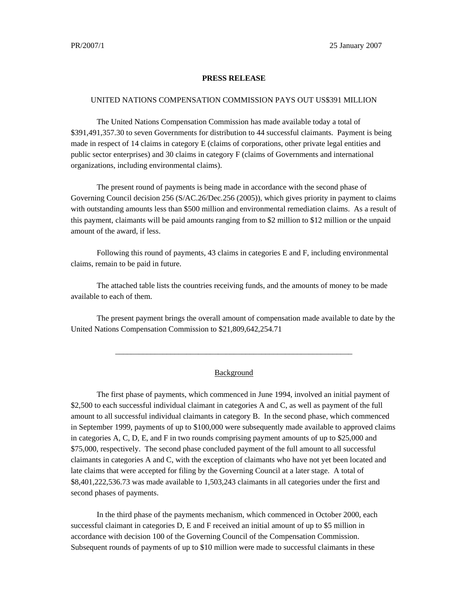## **PRESS RELEASE**

## UNITED NATIONS COMPENSATION COMMISSION PAYS OUT US\$391 MILLION

The United Nations Compensation Commission has made available today a total of \$391,491,357.30 to seven Governments for distribution to 44 successful claimants. Payment is being made in respect of 14 claims in category E (claims of corporations, other private legal entities and public sector enterprises) and 30 claims in category F (claims of Governments and international organizations, including environmental claims).

The present round of payments is being made in accordance with the second phase of Governing Council decision 256 (S/AC.26/Dec.256 (2005)), which gives priority in payment to claims with outstanding amounts less than \$500 million and environmental remediation claims. As a result of this payment, claimants will be paid amounts ranging from to \$2 million to \$12 million or the unpaid amount of the award, if less.

Following this round of payments, 43 claims in categories E and F, including environmental claims, remain to be paid in future.

The attached table lists the countries receiving funds, and the amounts of money to be made available to each of them.

The present payment brings the overall amount of compensation made available to date by the United Nations Compensation Commission to \$21,809,642,254.71

## Background

\_\_\_\_\_\_\_\_\_\_\_\_\_\_\_\_\_\_\_\_\_\_\_\_\_\_\_\_\_\_\_\_\_\_\_\_\_\_\_\_\_\_\_\_\_\_\_\_\_\_\_\_\_\_\_\_\_\_\_\_

The first phase of payments, which commenced in June 1994, involved an initial payment of \$2,500 to each successful individual claimant in categories A and C, as well as payment of the full amount to all successful individual claimants in category B. In the second phase, which commenced in September 1999, payments of up to \$100,000 were subsequently made available to approved claims in categories A, C, D, E, and F in two rounds comprising payment amounts of up to \$25,000 and \$75,000, respectively. The second phase concluded payment of the full amount to all successful claimants in categories A and C, with the exception of claimants who have not yet been located and late claims that were accepted for filing by the Governing Council at a later stage. A total of \$8,401,222,536.73 was made available to 1,503,243 claimants in all categories under the first and second phases of payments.

In the third phase of the payments mechanism, which commenced in October 2000, each successful claimant in categories D, E and F received an initial amount of up to \$5 million in accordance with decision 100 of the Governing Council of the Compensation Commission. Subsequent rounds of payments of up to \$10 million were made to successful claimants in these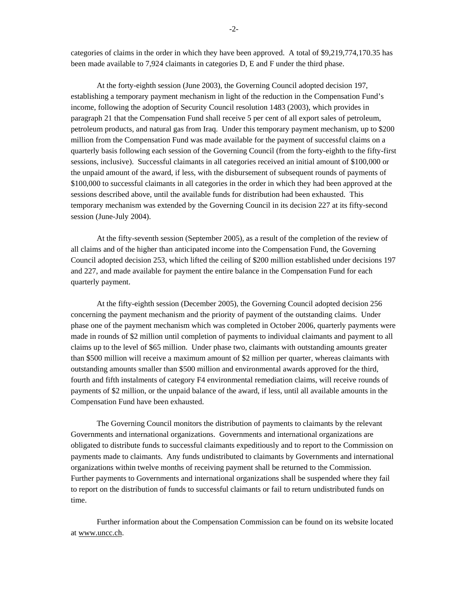categories of claims in the order in which they have been approved. A total of \$9,219,774,170.35 has been made available to 7,924 claimants in categories D, E and F under the third phase.

At the forty-eighth session (June 2003), the Governing Council adopted decision 197, establishing a temporary payment mechanism in light of the reduction in the Compensation Fund's income, following the adoption of Security Council resolution 1483 (2003), which provides in paragraph 21 that the Compensation Fund shall receive 5 per cent of all export sales of petroleum, petroleum products, and natural gas from Iraq. Under this temporary payment mechanism, up to \$200 million from the Compensation Fund was made available for the payment of successful claims on a quarterly basis following each session of the Governing Council (from the forty-eighth to the fifty-first sessions, inclusive). Successful claimants in all categories received an initial amount of \$100,000 or the unpaid amount of the award, if less, with the disbursement of subsequent rounds of payments of \$100,000 to successful claimants in all categories in the order in which they had been approved at the sessions described above, until the available funds for distribution had been exhausted. This temporary mechanism was extended by the Governing Council in its decision 227 at its fifty-second session (June-July 2004).

At the fifty-seventh session (September 2005), as a result of the completion of the review of all claims and of the higher than anticipated income into the Compensation Fund, the Governing Council adopted decision 253, which lifted the ceiling of \$200 million established under decisions 197 and 227, and made available for payment the entire balance in the Compensation Fund for each quarterly payment.

At the fifty-eighth session (December 2005), the Governing Council adopted decision 256 concerning the payment mechanism and the priority of payment of the outstanding claims. Under phase one of the payment mechanism which was completed in October 2006, quarterly payments were made in rounds of \$2 million until completion of payments to individual claimants and payment to all claims up to the level of \$65 million. Under phase two, claimants with outstanding amounts greater than \$500 million will receive a maximum amount of \$2 million per quarter, whereas claimants with outstanding amounts smaller than \$500 million and environmental awards approved for the third, fourth and fifth instalments of category F4 environmental remediation claims, will receive rounds of payments of \$2 million, or the unpaid balance of the award, if less, until all available amounts in the Compensation Fund have been exhausted.

The Governing Council monitors the distribution of payments to claimants by the relevant Governments and international organizations. Governments and international organizations are obligated to distribute funds to successful claimants expeditiously and to report to the Commission on payments made to claimants. Any funds undistributed to claimants by Governments and international organizations within twelve months of receiving payment shall be returned to the Commission. Further payments to Governments and international organizations shall be suspended where they fail to report on the distribution of funds to successful claimants or fail to return undistributed funds on time.

Further information about the Compensation Commission can be found on its website located at www.uncc.ch.